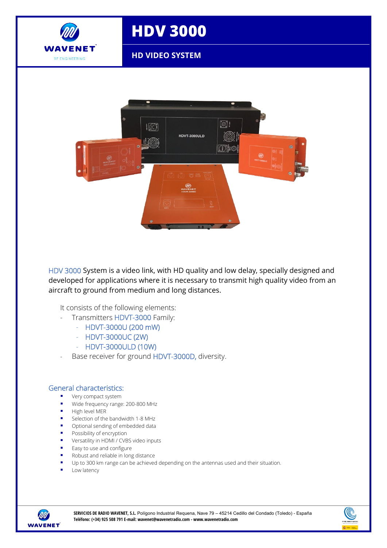

## **HDV 3000**

**HD VIDEO SYSTEM**



HDV 3000 System is a video link, with HD quality and low delay, specially designed and developed for applications where it is necessary to transmit high quality video from an aircraft to ground from medium and long distances.

It consists of the following elements:

- Transmitters HDVT-3000 Family:
	- HDVT-3000U (200 mW)
	- HDVT-3000UC (2W)
	- HDVT-3000ULD (10W)
- Base receiver for ground HDVT-3000D, diversity.

## General characteristics:

- **very compact system**
- Wide frequency range: 200-800 MHz
- $H$ igh level MER
- Selection of the bandwidth 1-8 MHz
- **•** Optional sending of embedded data
- **Possibility of encryption**
- **•** Versatility in HDMI / CVBS video inputs
- **Easy to use and configure**
- Robust and reliable in long distance
- Up to 300 km range can be achieved depending on the antennas used and their situation.
- Low latency